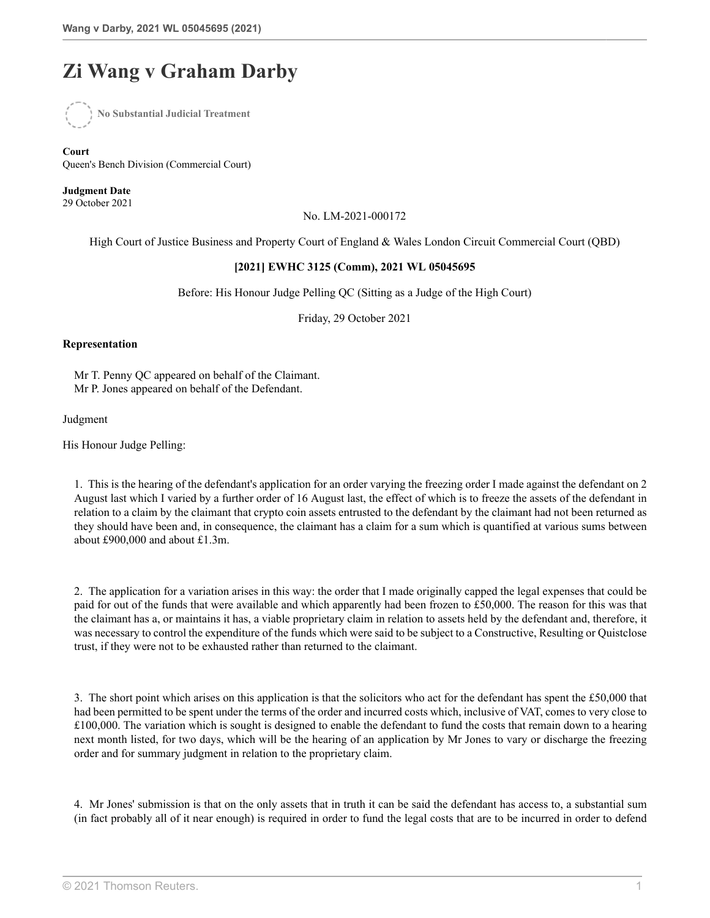## **Zi Wang v Graham Darby**



**Court** Queen's Bench Division (Commercial Court)

**Judgment Date** 29 October 2021

No. LM-2021-000172

High Court of Justice Business and Property Court of England & Wales London Circuit Commercial Court (QBD)

## **[2021] EWHC 3125 (Comm), 2021 WL 05045695**

Before: His Honour Judge Pelling QC (Sitting as a Judge of the High Court)

Friday, 29 October 2021

## **Representation**

Mr T. Penny QC appeared on behalf of the Claimant. Mr P. Jones appeared on behalf of the Defendant.

## Judgment

His Honour Judge Pelling:

1. This is the hearing of the defendant's application for an order varying the freezing order I made against the defendant on 2 August last which I varied by a further order of 16 August last, the effect of which is to freeze the assets of the defendant in relation to a claim by the claimant that crypto coin assets entrusted to the defendant by the claimant had not been returned as they should have been and, in consequence, the claimant has a claim for a sum which is quantified at various sums between about £900,000 and about £1.3m.

2. The application for a variation arises in this way: the order that I made originally capped the legal expenses that could be paid for out of the funds that were available and which apparently had been frozen to £50,000. The reason for this was that the claimant has a, or maintains it has, a viable proprietary claim in relation to assets held by the defendant and, therefore, it was necessary to control the expenditure of the funds which were said to be subject to a Constructive, Resulting or Quistclose trust, if they were not to be exhausted rather than returned to the claimant.

3. The short point which arises on this application is that the solicitors who act for the defendant has spent the £50,000 that had been permitted to be spent under the terms of the order and incurred costs which, inclusive of VAT, comes to very close to £100,000. The variation which is sought is designed to enable the defendant to fund the costs that remain down to a hearing next month listed, for two days, which will be the hearing of an application by Mr Jones to vary or discharge the freezing order and for summary judgment in relation to the proprietary claim.

4. Mr Jones' submission is that on the only assets that in truth it can be said the defendant has access to, a substantial sum (in fact probably all of it near enough) is required in order to fund the legal costs that are to be incurred in order to defend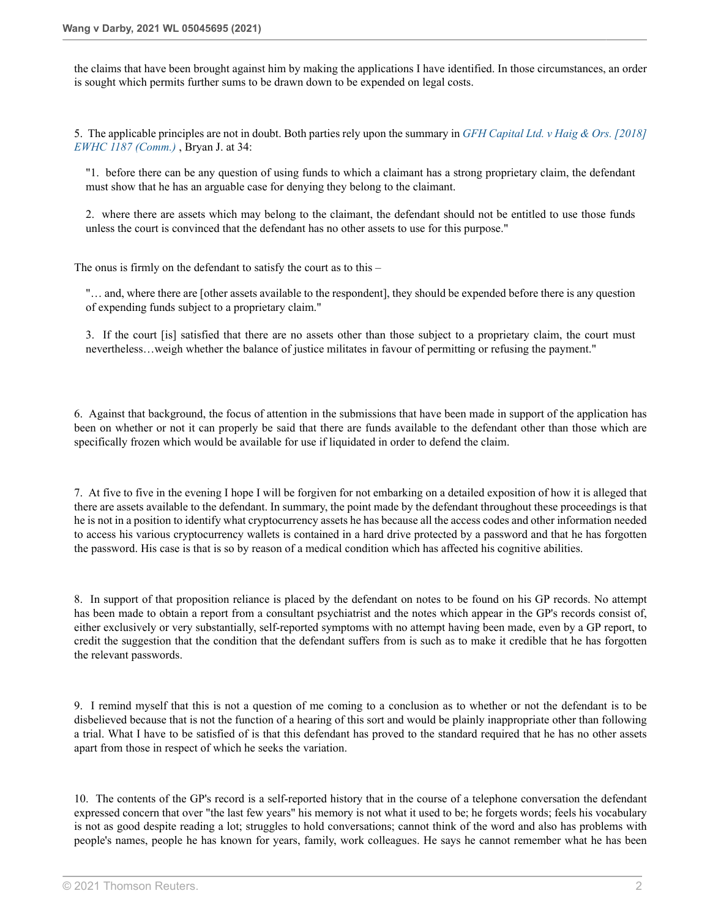the claims that have been brought against him by making the applications I have identified. In those circumstances, an order is sought which permits further sums to be drawn down to be expended on legal costs.

5. The applicable principles are not in doubt. Both parties rely upon the summary in *[GFH Capital Ltd. v Haig & Ors. \[2018\]](http://uk.westlaw.com/Document/IE5348160415111E8973795073E312B12/View/FullText.html?originationContext=document&transitionType=DocumentItem&vr=3.0&rs=PLUK1.0&contextData=(sc.DocLink)) [EWHC 1187 \(Comm.\)](http://uk.westlaw.com/Document/IE5348160415111E8973795073E312B12/View/FullText.html?originationContext=document&transitionType=DocumentItem&vr=3.0&rs=PLUK1.0&contextData=(sc.DocLink))* , Bryan J. at 34:

"1. before there can be any question of using funds to which a claimant has a strong proprietary claim, the defendant must show that he has an arguable case for denying they belong to the claimant.

2. where there are assets which may belong to the claimant, the defendant should not be entitled to use those funds unless the court is convinced that the defendant has no other assets to use for this purpose."

The onus is firmly on the defendant to satisfy the court as to this –

"… and, where there are [other assets available to the respondent], they should be expended before there is any question of expending funds subject to a proprietary claim."

3. If the court [is] satisfied that there are no assets other than those subject to a proprietary claim, the court must nevertheless…weigh whether the balance of justice militates in favour of permitting or refusing the payment."

6. Against that background, the focus of attention in the submissions that have been made in support of the application has been on whether or not it can properly be said that there are funds available to the defendant other than those which are specifically frozen which would be available for use if liquidated in order to defend the claim.

7. At five to five in the evening I hope I will be forgiven for not embarking on a detailed exposition of how it is alleged that there are assets available to the defendant. In summary, the point made by the defendant throughout these proceedings is that he is not in a position to identify what cryptocurrency assets he has because all the access codes and other information needed to access his various cryptocurrency wallets is contained in a hard drive protected by a password and that he has forgotten the password. His case is that is so by reason of a medical condition which has affected his cognitive abilities.

8. In support of that proposition reliance is placed by the defendant on notes to be found on his GP records. No attempt has been made to obtain a report from a consultant psychiatrist and the notes which appear in the GP's records consist of, either exclusively or very substantially, self-reported symptoms with no attempt having been made, even by a GP report, to credit the suggestion that the condition that the defendant suffers from is such as to make it credible that he has forgotten the relevant passwords.

9. I remind myself that this is not a question of me coming to a conclusion as to whether or not the defendant is to be disbelieved because that is not the function of a hearing of this sort and would be plainly inappropriate other than following a trial. What I have to be satisfied of is that this defendant has proved to the standard required that he has no other assets apart from those in respect of which he seeks the variation.

10. The contents of the GP's record is a self-reported history that in the course of a telephone conversation the defendant expressed concern that over "the last few years" his memory is not what it used to be; he forgets words; feels his vocabulary is not as good despite reading a lot; struggles to hold conversations; cannot think of the word and also has problems with people's names, people he has known for years, family, work colleagues. He says he cannot remember what he has been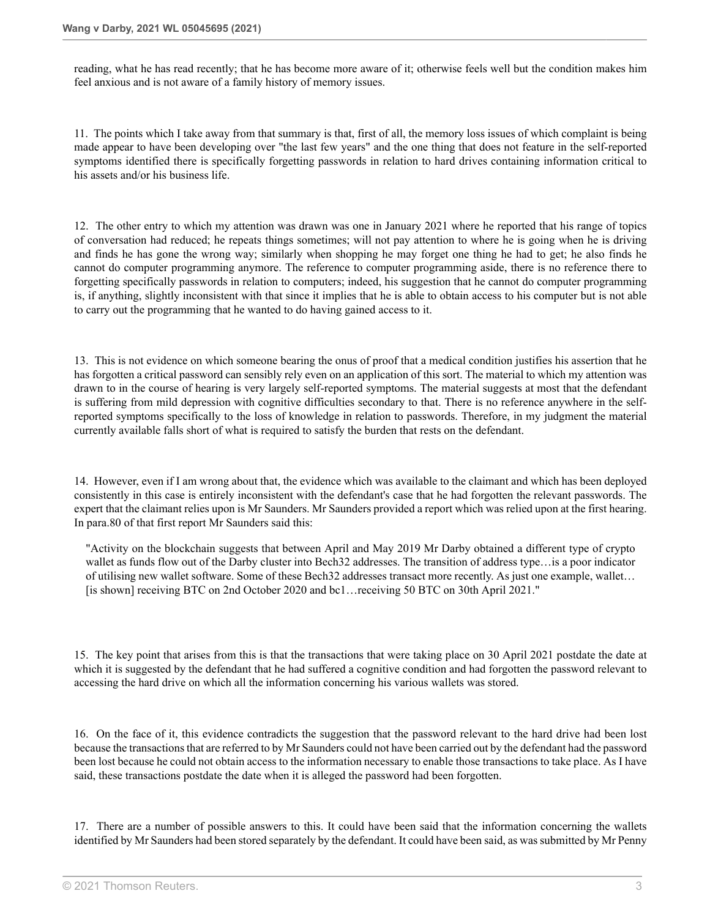reading, what he has read recently; that he has become more aware of it; otherwise feels well but the condition makes him feel anxious and is not aware of a family history of memory issues.

11. The points which I take away from that summary is that, first of all, the memory loss issues of which complaint is being made appear to have been developing over "the last few years" and the one thing that does not feature in the self-reported symptoms identified there is specifically forgetting passwords in relation to hard drives containing information critical to his assets and/or his business life.

12. The other entry to which my attention was drawn was one in January 2021 where he reported that his range of topics of conversation had reduced; he repeats things sometimes; will not pay attention to where he is going when he is driving and finds he has gone the wrong way; similarly when shopping he may forget one thing he had to get; he also finds he cannot do computer programming anymore. The reference to computer programming aside, there is no reference there to forgetting specifically passwords in relation to computers; indeed, his suggestion that he cannot do computer programming is, if anything, slightly inconsistent with that since it implies that he is able to obtain access to his computer but is not able to carry out the programming that he wanted to do having gained access to it.

13. This is not evidence on which someone bearing the onus of proof that a medical condition justifies his assertion that he has forgotten a critical password can sensibly rely even on an application of this sort. The material to which my attention was drawn to in the course of hearing is very largely self-reported symptoms. The material suggests at most that the defendant is suffering from mild depression with cognitive difficulties secondary to that. There is no reference anywhere in the selfreported symptoms specifically to the loss of knowledge in relation to passwords. Therefore, in my judgment the material currently available falls short of what is required to satisfy the burden that rests on the defendant.

14. However, even if I am wrong about that, the evidence which was available to the claimant and which has been deployed consistently in this case is entirely inconsistent with the defendant's case that he had forgotten the relevant passwords. The expert that the claimant relies upon is Mr Saunders. Mr Saunders provided a report which was relied upon at the first hearing. In para.80 of that first report Mr Saunders said this:

"Activity on the blockchain suggests that between April and May 2019 Mr Darby obtained a different type of crypto wallet as funds flow out of the Darby cluster into Bech32 addresses. The transition of address type…is a poor indicator of utilising new wallet software. Some of these Bech32 addresses transact more recently. As just one example, wallet… [is shown] receiving BTC on 2nd October 2020 and bc1…receiving 50 BTC on 30th April 2021."

15. The key point that arises from this is that the transactions that were taking place on 30 April 2021 postdate the date at which it is suggested by the defendant that he had suffered a cognitive condition and had forgotten the password relevant to accessing the hard drive on which all the information concerning his various wallets was stored.

16. On the face of it, this evidence contradicts the suggestion that the password relevant to the hard drive had been lost because the transactions that are referred to by Mr Saunders could not have been carried out by the defendant had the password been lost because he could not obtain access to the information necessary to enable those transactions to take place. As I have said, these transactions postdate the date when it is alleged the password had been forgotten.

17. There are a number of possible answers to this. It could have been said that the information concerning the wallets identified by Mr Saunders had been stored separately by the defendant. It could have been said, as was submitted by Mr Penny